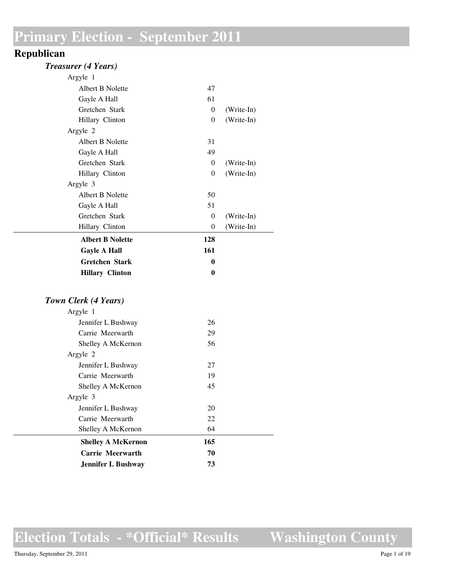#### **Republican**

#### *Treasurer (4 Years)*

| <b>Hillary Clinton</b>  | 0        |            |
|-------------------------|----------|------------|
| <b>Gretchen Stark</b>   | 0        |            |
| <b>Gayle A Hall</b>     | 161      |            |
| <b>Albert B Nolette</b> | 128      |            |
| Hillary Clinton         | $\theta$ | (Write-In) |
| Gretchen Stark          | $\theta$ | (Write-In) |
| Gayle A Hall            | 51       |            |
| Albert B Nolette        | 50       |            |
| Argyle 3                |          |            |
| Hillary Clinton         | 0        | (Write-In) |
| Gretchen Stark          | 0        | (Write-In) |
| Gayle A Hall            | 49       |            |
| Albert B Nolette        | 31       |            |
| Argyle 2                |          |            |
| Hillary Clinton         | $\theta$ | (Write-In) |
| Gretchen Stark          | $\theta$ | (Write-In) |
| Gayle A Hall            | 61       |            |
| Albert B Nolette        | 47       |            |
| Argyle 1                |          |            |

#### *Town Clerk (4 Years)*

| Argyle 1                  |     |  |
|---------------------------|-----|--|
| Jennifer L Bushway        | 26  |  |
| Carrie Meerwarth          | 29  |  |
| Shelley A McKernon        | 56  |  |
| Argyle 2                  |     |  |
| Jennifer L Bushway        | 27  |  |
| Carrie Meerwarth          | 19  |  |
| Shelley A McKernon        | 45  |  |
| Argyle 3                  |     |  |
| Jennifer L Bushway        | 20  |  |
| Carrie Meerwarth          | 22  |  |
| Shelley A McKernon        | 64  |  |
| <b>Shelley A McKernon</b> | 165 |  |
| Carrie Meerwarth          | 70  |  |
| <b>Jennifer L Bushway</b> | 73  |  |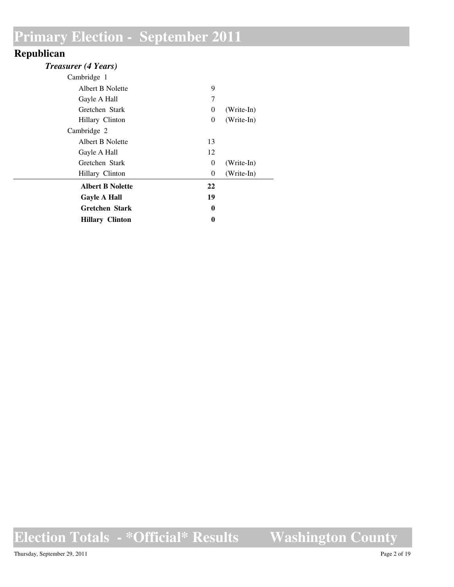### **Republican**

| <b>Treasurer (4 Years)</b> |  |  |
|----------------------------|--|--|
|----------------------------|--|--|

| Cambridge 1             |          |            |
|-------------------------|----------|------------|
| Albert B Nolette        | 9        |            |
| Gayle A Hall            | 7        |            |
| Gretchen Stark          | 0        | (Write-In) |
| Hillary Clinton         | 0        | (Write-In) |
| Cambridge 2             |          |            |
| Albert B Nolette        | 13       |            |
| Gayle A Hall            | 12       |            |
| Gretchen Stark          | $\theta$ | (Write-In) |
| Hillary Clinton         | 0        | (Write-In) |
| <b>Albert B Nolette</b> | 22       |            |
| <b>Gayle A Hall</b>     | 19       |            |
| <b>Gretchen Stark</b>   | 0        |            |
| <b>Hillary Clinton</b>  | 0        |            |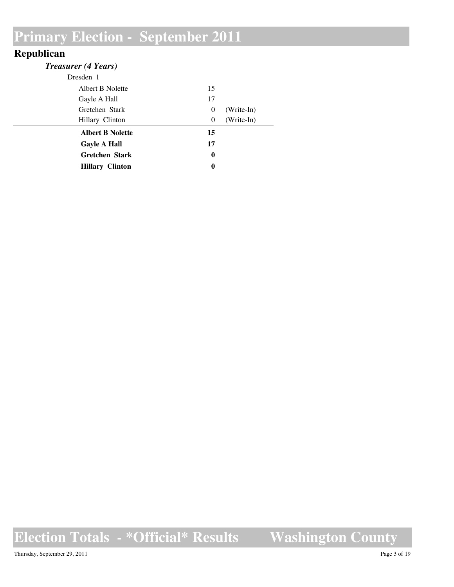### **Republican**

| <b>Treasurer (4 Years)</b> |                  |            |
|----------------------------|------------------|------------|
| Dresden 1                  |                  |            |
| Albert B Nolette           | 15               |            |
| Gayle A Hall               | 17               |            |
| Gretchen Stark             | $\theta$         | (Write-In) |
| Hillary Clinton            | $\theta$         | (Write-In) |
| <b>Albert B Nolette</b>    | 15               |            |
| <b>Gayle A Hall</b>        | 17               |            |
| <b>Gretchen Stark</b>      | $\boldsymbol{0}$ |            |
| <b>Hillary Clinton</b>     | $\boldsymbol{0}$ |            |

**Election Totals - \*Official\* Results Washington County**

Thursday, September 29, 2011 Page 3 of 19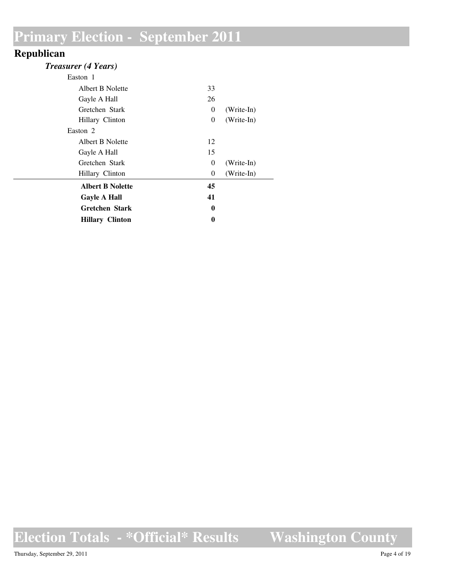### **Republican**

| <b>Treasurer (4 Years)</b> |  |  |
|----------------------------|--|--|
|----------------------------|--|--|

| Easton 1                |          |              |
|-------------------------|----------|--------------|
| Albert B Nolette        | 33       |              |
| Gayle A Hall            | 26       |              |
| Gretchen Stark          | 0        | $(Write-In)$ |
| Hillary Clinton         | $\theta$ | (Write-In)   |
| Easton 2                |          |              |
| Albert B Nolette        | 12       |              |
| Gayle A Hall            | 15       |              |
| Gretchen Stark          | 0        | (Write-In)   |
| Hillary Clinton         | 0        | (Write-In)   |
| <b>Albert B Nolette</b> | 45       |              |
| <b>Gayle A Hall</b>     | 41       |              |
| <b>Gretchen Stark</b>   | $\bf{0}$ |              |
| <b>Hillary Clinton</b>  | 0        |              |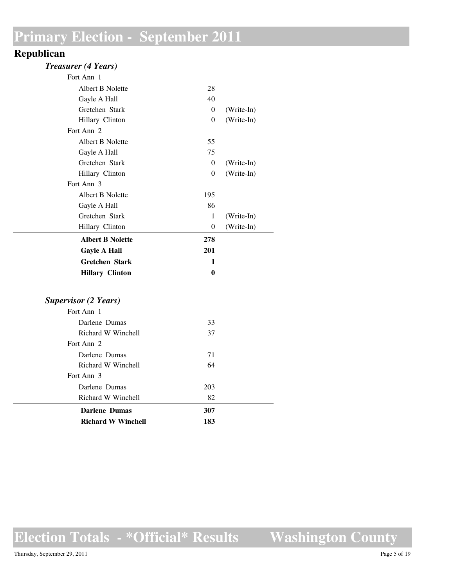#### **Republican**

#### *Treasurer (4 Years)*

| Fort Ann 1              |          |            |
|-------------------------|----------|------------|
| Albert B Nolette        | 28       |            |
| Gayle A Hall            | 40       |            |
| Gretchen Stark          | $\Omega$ | (Write-In) |
| Hillary Clinton         | $\Omega$ | (Write-In) |
| Fort Ann 2              |          |            |
| Albert B Nolette        | 55       |            |
| Gayle A Hall            | 75       |            |
| Gretchen Stark          | $\Omega$ | (Write-In) |
| Hillary Clinton         | $\Omega$ | (Write-In) |
| Fort Ann 3              |          |            |
| Albert B Nolette        | 195      |            |
| Gayle A Hall            | 86       |            |
| Gretchen Stark          | 1        | (Write-In) |
| Hillary Clinton         | $\Omega$ | (Write-In) |
| <b>Albert B Nolette</b> | 278      |            |
| <b>Gayle A Hall</b>     | 201      |            |
| <b>Gretchen Stark</b>   | 1        |            |
| <b>Hillary Clinton</b>  | 0        |            |

#### *Supervisor (2 Years)*

| <b>Richard W Winchell</b> | 183 |  |
|---------------------------|-----|--|
| Darlene Dumas             | 307 |  |
| Richard W Winchell        | 82  |  |
| Darlene Dumas             | 203 |  |
| Fort Ann 3                |     |  |
| Richard W Winchell        | 64  |  |
| Darlene Dumas             | 71  |  |
| Fort Ann 2                |     |  |
| Richard W Winchell        | 37  |  |
| Darlene Dumas             | 33  |  |
| Fort Ann 1                |     |  |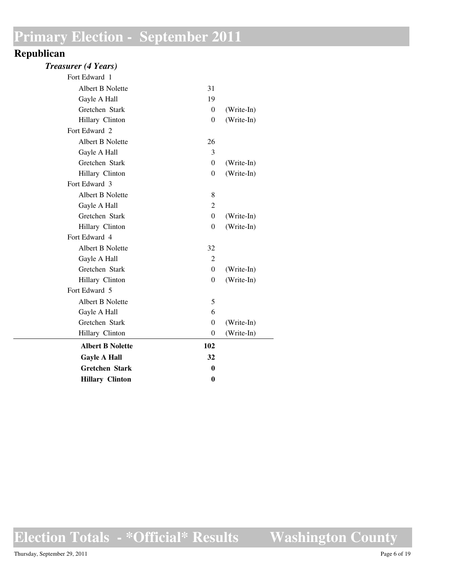#### **Republican**

#### *Treasurer (4 Years)*

| Fort Edward 1           |                  |            |
|-------------------------|------------------|------------|
| Albert B Nolette        | 31               |            |
| Gayle A Hall            | 19               |            |
| Gretchen Stark          | $\theta$         | (Write-In) |
| Hillary Clinton         | $\theta$         | (Write-In) |
| Fort Edward 2           |                  |            |
| Albert B Nolette        | 26               |            |
| Gayle A Hall            | 3                |            |
| Gretchen Stark          | $\theta$         | (Write-In) |
| Hillary Clinton         | $\theta$         | (Write-In) |
| Fort Edward 3           |                  |            |
| Albert B Nolette        | 8                |            |
| Gayle A Hall            | $\overline{2}$   |            |
| Gretchen Stark          | $\theta$         | (Write-In) |
| Hillary Clinton         | $\overline{0}$   | (Write-In) |
| Fort Edward 4           |                  |            |
| Albert B Nolette        | 32               |            |
| Gayle A Hall            | $\overline{2}$   |            |
| Gretchen Stark          | $\theta$         | (Write-In) |
| Hillary Clinton         | $\overline{0}$   | (Write-In) |
| Fort Edward 5           |                  |            |
| Albert B Nolette        | 5                |            |
| Gayle A Hall            | 6                |            |
| Gretchen Stark          | $\overline{0}$   | (Write-In) |
| Hillary Clinton         | $\boldsymbol{0}$ | (Write-In) |
| <b>Albert B Nolette</b> | 102              |            |
| <b>Gayle A Hall</b>     | 32               |            |
| <b>Gretchen Stark</b>   | 0                |            |
| <b>Hillary Clinton</b>  | $\bf{0}$         |            |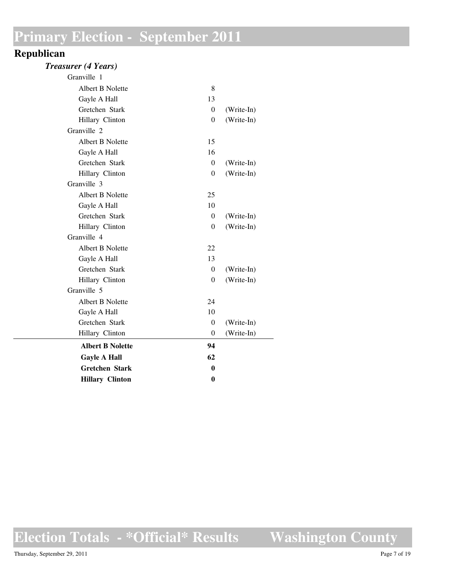#### **Republican**

#### *Treasurer (4 Years)*

| Granville 1             |                |            |
|-------------------------|----------------|------------|
| Albert B Nolette        | 8              |            |
| Gayle A Hall            | 13             |            |
| Gretchen Stark          | $\overline{0}$ | (Write-In) |
| Hillary Clinton         | $\overline{0}$ | (Write-In) |
| Granville 2             |                |            |
| Albert B Nolette        | 15             |            |
| Gayle A Hall            | 16             |            |
| Gretchen Stark          | $\overline{0}$ | (Write-In) |
| Hillary Clinton         | $\theta$       | (Write-In) |
| Granville 3             |                |            |
| Albert B Nolette        | 25             |            |
| Gayle A Hall            | 10             |            |
| Gretchen Stark          | $\theta$       | (Write-In) |
| Hillary Clinton         | $\overline{0}$ | (Write-In) |
| Granville 4             |                |            |
| Albert B Nolette        | 22             |            |
| Gayle A Hall            | 13             |            |
| Gretchen Stark          | $\overline{0}$ | (Write-In) |
| Hillary Clinton         | $\theta$       | (Write-In) |
| Granville 5             |                |            |
| Albert B Nolette        | 24             |            |
| Gayle A Hall            | 10             |            |
| Gretchen Stark          | $\theta$       | (Write-In) |
| Hillary Clinton         | $\overline{0}$ | (Write-In) |
| <b>Albert B Nolette</b> | 94             |            |
| <b>Gayle A Hall</b>     | 62             |            |
| <b>Gretchen Stark</b>   | 0              |            |
| <b>Hillary Clinton</b>  | $\bf{0}$       |            |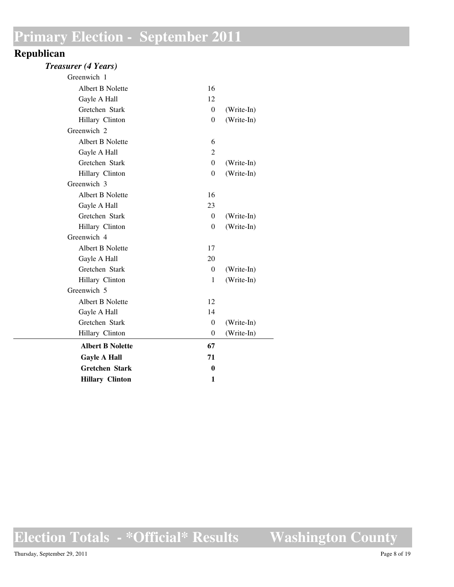#### **Republican**

#### *Treasurer (4 Years)*

| Greenwich 1             |                |            |
|-------------------------|----------------|------------|
| Albert B Nolette        | 16             |            |
| Gayle A Hall            | 12             |            |
| Gretchen Stark          | $\theta$       | (Write-In) |
| Hillary Clinton         | $\mathbf{0}$   | (Write-In) |
| Greenwich 2             |                |            |
| Albert B Nolette        | 6              |            |
| Gayle A Hall            | $\overline{2}$ |            |
| Gretchen Stark          | $\Omega$       | (Write-In) |
| Hillary Clinton         | $\mathbf{0}$   | (Write-In) |
| Greenwich 3             |                |            |
| Albert B Nolette        | 16             |            |
| Gayle A Hall            | 23             |            |
| Gretchen Stark          | $\Omega$       | (Write-In) |
| Hillary Clinton         | $\mathbf{0}$   | (Write-In) |
| Greenwich 4             |                |            |
| Albert B Nolette        | 17             |            |
| Gayle A Hall            | 20             |            |
| Gretchen Stark          | $\theta$       | (Write-In) |
| Hillary Clinton         | 1              | (Write-In) |
| Greenwich 5             |                |            |
| Albert B Nolette        | 12             |            |
| Gayle A Hall            | 14             |            |
| Gretchen Stark          | $\theta$       | (Write-In) |
| Hillary Clinton         | $\theta$       | (Write-In) |
| <b>Albert B Nolette</b> | 67             |            |
| <b>Gayle A Hall</b>     | 71             |            |
| <b>Gretchen Stark</b>   | $\mathbf{0}$   |            |
| <b>Hillary Clinton</b>  | 1              |            |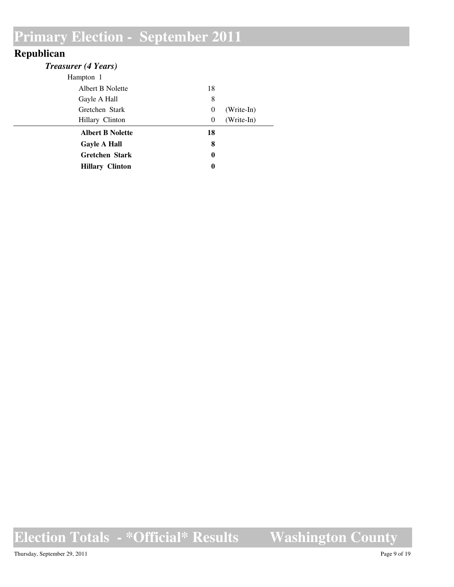### **Republican**

| <b>Treasurer (4 Years)</b> |                  |            |
|----------------------------|------------------|------------|
| Hampton 1                  |                  |            |
| Albert B Nolette           | 18               |            |
| Gayle A Hall               | 8                |            |
| Gretchen Stark             | $\theta$         | (Write-In) |
| Hillary Clinton            | $\theta$         | (Write-In) |
| <b>Albert B Nolette</b>    | 18               |            |
| <b>Gayle A Hall</b>        | 8                |            |
| <b>Gretchen Stark</b>      | $\boldsymbol{0}$ |            |
| <b>Hillary Clinton</b>     | $\boldsymbol{0}$ |            |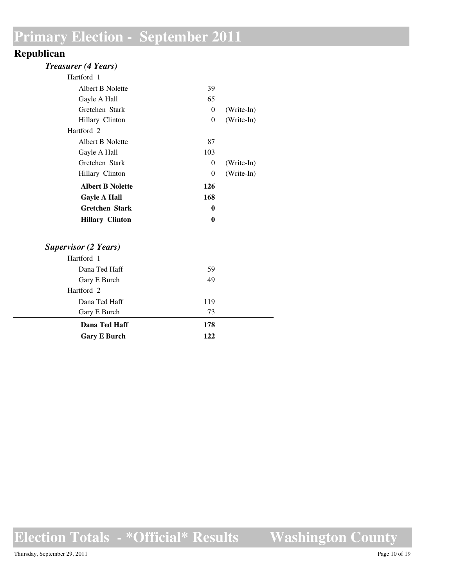#### **Republican**

| <b>Treasurer (4 Years)</b>  |              |            |
|-----------------------------|--------------|------------|
| Hartford 1                  |              |            |
| Albert B Nolette            | 39           |            |
| Gayle A Hall                | 65           |            |
| Gretchen Stark              | $\Omega$     | (Write-In) |
| Hillary Clinton             | $\theta$     | (Write-In) |
| Hartford <sub>2</sub>       |              |            |
| Albert B Nolette            | 87           |            |
| Gayle A Hall                | 103          |            |
| Gretchen Stark              | $\Omega$     | (Write-In) |
| Hillary Clinton             | $\theta$     | (Write-In) |
| <b>Albert B Nolette</b>     | 126          |            |
| <b>Gayle A Hall</b>         | 168          |            |
| <b>Gretchen Stark</b>       | $\bf{0}$     |            |
| <b>Hillary Clinton</b>      | $\mathbf{0}$ |            |
| <b>Supervisor (2 Years)</b> |              |            |
| Hartford 1                  |              |            |
| Dana Ted Haff               | 59           |            |
| Gary E Burch                | 49           |            |
| Hartford 2                  |              |            |
| Dana Ted Haff               | 119          |            |
| Gary E Burch                | 73           |            |
| Dana Ted Haff               | 178          |            |
| <b>Gary E Burch</b>         | 122          |            |

**Election Totals - \*Official\* Results Washington County**

Thursday, September 29, 2011 Page 10 of 19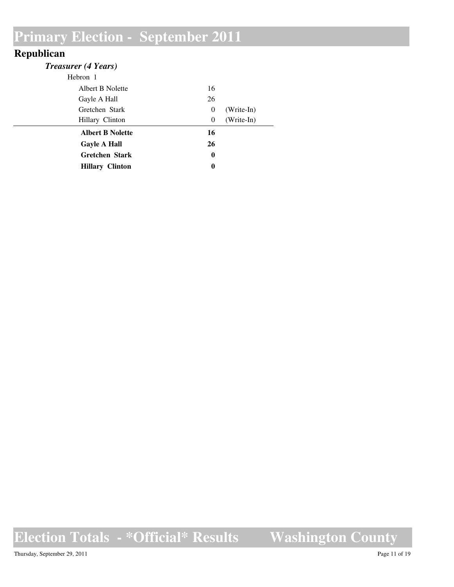### **Republican**

| <b>Treasurer (4 Years)</b> |                  |            |
|----------------------------|------------------|------------|
| Hebron 1                   |                  |            |
| Albert B Nolette           | 16               |            |
| Gayle A Hall               | 26               |            |
| Gretchen Stark             | $\theta$         | (Write-In) |
| Hillary Clinton            | $\theta$         | (Write-In) |
| <b>Albert B Nolette</b>    | 16               |            |
| <b>Gayle A Hall</b>        | 26               |            |
| <b>Gretchen Stark</b>      | $\boldsymbol{0}$ |            |
| <b>Hillary Clinton</b>     | $\boldsymbol{0}$ |            |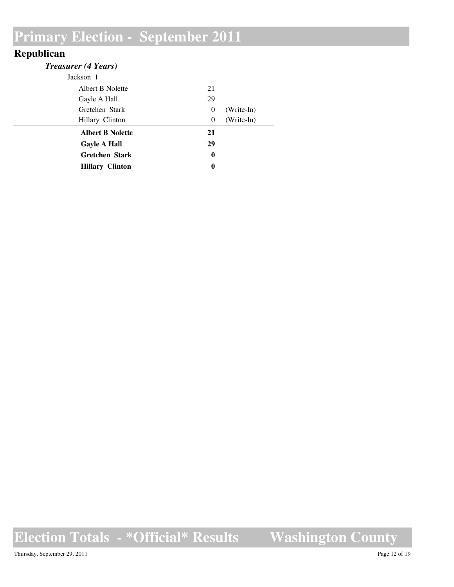#### **Republican**

| 21       |            |
|----------|------------|
| 29       |            |
| $\theta$ | (Write-In) |
| $\theta$ | (Write-In) |
| 21       |            |
| 29       |            |
| $\bf{0}$ |            |
| $\bf{0}$ |            |
|          |            |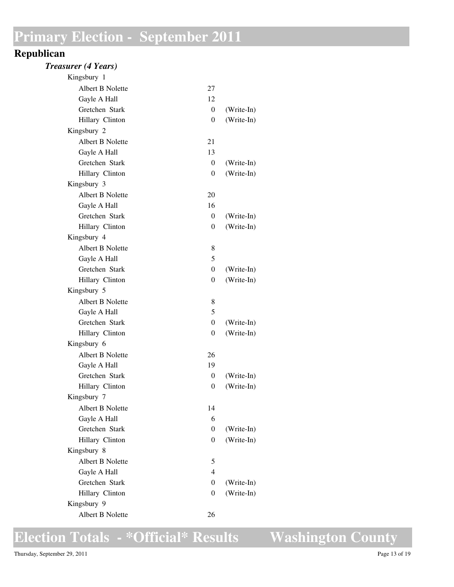#### **Republican**

#### *Treasurer (4 Years)*

| Kingsbury 1      |                |            |
|------------------|----------------|------------|
| Albert B Nolette | 27             |            |
| Gayle A Hall     | 12             |            |
| Gretchen Stark   | 0              | (Write-In) |
| Hillary Clinton  | $\overline{0}$ | (Write-In) |
| Kingsbury 2      |                |            |
| Albert B Nolette | 21             |            |
| Gayle A Hall     | 13             |            |
| Gretchen Stark   | 0              | (Write-In) |
| Hillary Clinton  | $\overline{0}$ | (Write-In) |
| Kingsbury 3      |                |            |
| Albert B Nolette | 20             |            |
| Gayle A Hall     | 16             |            |
| Gretchen Stark   | 0              | (Write-In) |
| Hillary Clinton  | $\overline{0}$ | (Write-In) |
| Kingsbury 4      |                |            |
| Albert B Nolette | 8              |            |
| Gayle A Hall     | 5              |            |
| Gretchen Stark   | $\overline{0}$ | (Write-In) |
| Hillary Clinton  | $\overline{0}$ | (Write-In) |
| Kingsbury 5      |                |            |
| Albert B Nolette | 8              |            |
| Gayle A Hall     | 5              |            |
| Gretchen Stark   | $\overline{0}$ | (Write-In) |
| Hillary Clinton  | $\overline{0}$ | (Write-In) |
| Kingsbury 6      |                |            |
| Albert B Nolette | 26             |            |
| Gayle A Hall     | 19             |            |
| Gretchen Stark   | 0              | (Write-In) |
| Hillary Clinton  | $\overline{0}$ | (Write-In) |
| Kingsbury 7      |                |            |
| Albert B Nolette | 14             |            |
| Gayle A Hall     | 6              |            |
| Gretchen Stark   | $\overline{0}$ | (Write-In) |
| Hillary Clinton  | $\overline{0}$ | (Write-In) |
| Kingsbury 8      |                |            |
| Albert B Nolette | 5              |            |
| Gayle A Hall     | $\overline{4}$ |            |
| Gretchen Stark   | $\overline{0}$ | (Write-In) |
| Hillary Clinton  | 0              | (Write-In) |
| Kingsbury 9      |                |            |
| Albert B Nolette | 26             |            |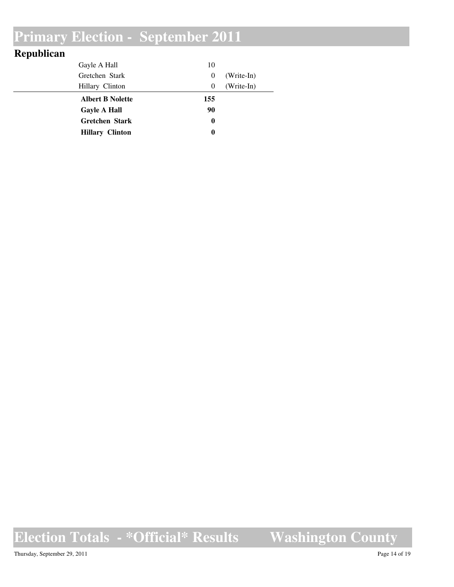| Republican |                         |                  |              |
|------------|-------------------------|------------------|--------------|
|            | Gayle A Hall            | 10               |              |
|            | Gretchen Stark          | $\theta$         | $(Write-In)$ |
|            | Hillary Clinton         | $\overline{0}$   | (Write-In)   |
|            | <b>Albert B Nolette</b> | 155              |              |
|            | <b>Gayle A Hall</b>     | 90               |              |
|            | <b>Gretchen Stark</b>   | $\boldsymbol{0}$ |              |
|            | <b>Hillary Clinton</b>  | 0                |              |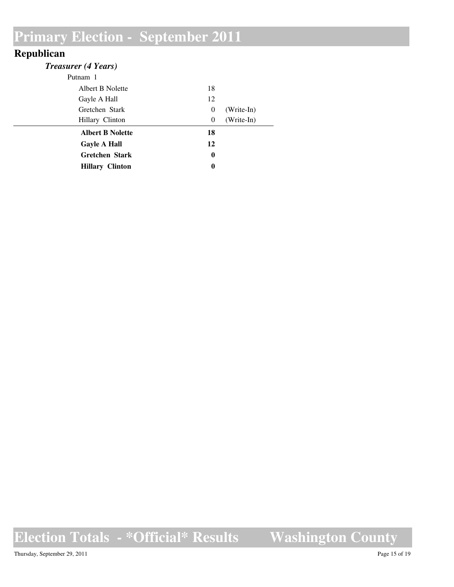#### **Republican**

| <b>Treasurer (4 Years)</b> |    |              |
|----------------------------|----|--------------|
| Putnam 1                   |    |              |
| Albert B Nolette           | 18 |              |
| Gayle A Hall               | 12 |              |
| Gretchen Stark             | 0  | $(Write-In)$ |
| Hillary Clinton            | 0  | (Write-In)   |
| <b>Albert B Nolette</b>    | 18 |              |
| <b>Gayle A Hall</b>        | 12 |              |
| <b>Gretchen Stark</b>      | 0  |              |
| <b>Hillary Clinton</b>     | 0  |              |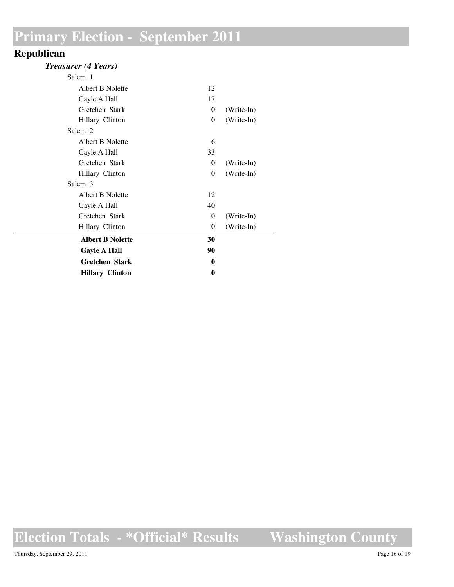#### **Republican**

#### *Treasurer (4 Years)*

| Salem 1                 |          |            |
|-------------------------|----------|------------|
| Albert B Nolette        | 12       |            |
| Gayle A Hall            | 17       |            |
| Gretchen Stark          | 0        | (Write-In) |
| Hillary Clinton         | 0        | (Write-In) |
| Salem 2                 |          |            |
| Albert B Nolette        | 6        |            |
| Gayle A Hall            | 33       |            |
| Gretchen Stark          | 0        | (Write-In) |
| Hillary Clinton         | 0        | (Write-In) |
| Salem 3                 |          |            |
| Albert B Nolette        | 12       |            |
| Gayle A Hall            | 40       |            |
| Gretchen Stark          | $\theta$ | (Write-In) |
| Hillary Clinton         | 0        | (Write-In) |
| <b>Albert B Nolette</b> | 30       |            |
| <b>Gayle A Hall</b>     | 90       |            |
| <b>Gretchen Stark</b>   | 0        |            |
| <b>Hillary Clinton</b>  | 0        |            |
|                         |          |            |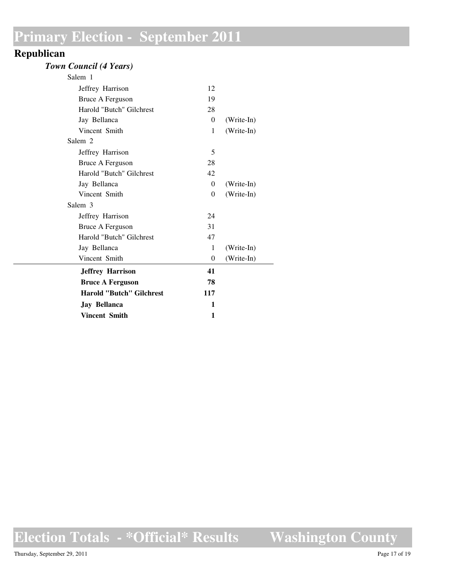#### **Republican**

#### *Town Council (4 Years)*

| <b>Jay Bellanca</b><br><b>Vincent Smith</b> | 1<br>1   |              |
|---------------------------------------------|----------|--------------|
| <b>Harold "Butch" Gilchrest</b>             | 117      |              |
| <b>Bruce A Ferguson</b>                     | 78       |              |
| <b>Jeffrey Harrison</b>                     | 41       |              |
| Vincent Smith                               | $\theta$ | (Write-In)   |
| Jay Bellanca                                | 1        | $(Write-In)$ |
| Harold "Butch" Gilchrest                    | 47       |              |
| Bruce A Ferguson                            | 31       |              |
| Jeffrey Harrison                            | 24       |              |
| Salem 3                                     |          |              |
| Vincent Smith                               | $\Omega$ | (Write-In)   |
| Jay Bellanca                                | $\Omega$ | (Write-In)   |
| Harold "Butch" Gilchrest                    | 42       |              |
| Bruce A Ferguson                            | 28       |              |
| Jeffrey Harrison                            | 5        |              |
| Salem 2                                     |          |              |
| Vincent Smith                               | 1        | (Write-In)   |
| Jay Bellanca                                | $\Omega$ | (Write-In)   |
| Harold "Butch" Gilchrest                    | 28       |              |
| Bruce A Ferguson                            | 19       |              |
| Jeffrey Harrison                            | 12       |              |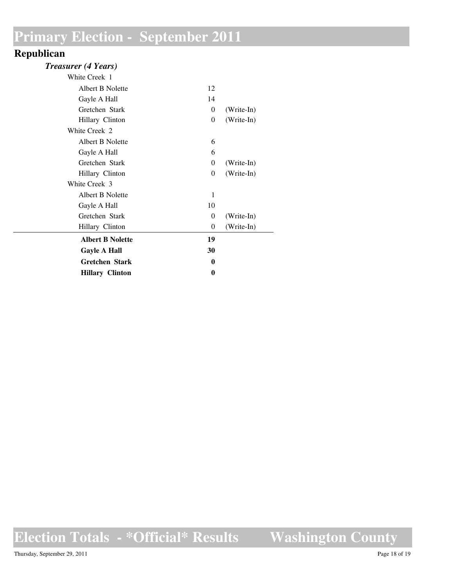#### **Republican**

#### *Treasurer (4 Years)*

| White Creek 1           |          |            |
|-------------------------|----------|------------|
| Albert B Nolette        | 12       |            |
| Gayle A Hall            | 14       |            |
| Gretchen Stark          | $\theta$ | (Write-In) |
| Hillary Clinton         | 0        | (Write-In) |
| White Creek 2           |          |            |
| Albert B Nolette        | 6        |            |
| Gayle A Hall            | 6        |            |
| Gretchen Stark          | 0        | (Write-In) |
| Hillary Clinton         | 0        | (Write-In) |
| White Creek 3           |          |            |
| Albert B Nolette        | 1        |            |
| Gayle A Hall            | 10       |            |
| Gretchen Stark          | 0        | (Write-In) |
| Hillary Clinton         | $\theta$ | (Write-In) |
| <b>Albert B Nolette</b> | 19       |            |
| <b>Gayle A Hall</b>     | 30       |            |
| <b>Gretchen Stark</b>   | 0        |            |
| <b>Hillary Clinton</b>  | 0        |            |